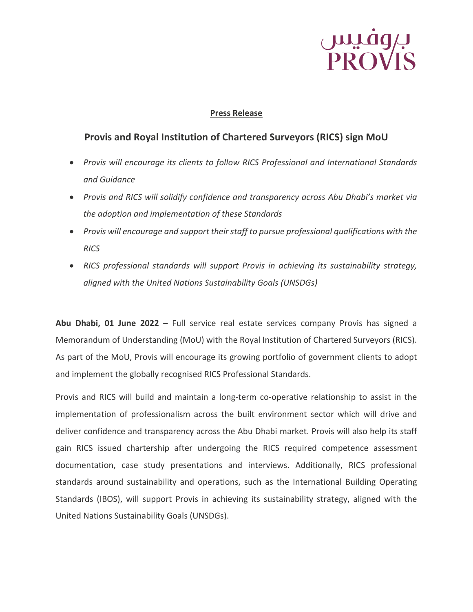# بہوفیس<br>PROVIS

#### **Press Release**

### **Provis and Royal Institution of Chartered Surveyors (RICS) sign MoU**

- *Provis will encourage its clients to follow RICS Professional and International Standards and Guidance*
- *Provis and RICS will solidify confidence and transparency across Abu Dhabi's market via the adoption and implementation of these Standards*
- *Provis will encourage and support their staff to pursue professional qualifications with the RICS*
- *RICS professional standards will support Provis in achieving its sustainability strategy, aligned with the United Nations Sustainability Goals (UNSDGs)*

**Abu Dhabi, 01 June 2022 –** Full service real estate services company Provis has signed a Memorandum of Understanding (MoU) with the Royal Institution of Chartered Surveyors (RICS). As part of the MoU, Provis will encourage its growing portfolio of government clients to adopt and implement the globally recognised RICS Professional Standards.

Provis and RICS will build and maintain a long-term co-operative relationship to assist in the implementation of professionalism across the built environment sector which will drive and deliver confidence and transparency across the Abu Dhabi market. Provis will also help its staff gain RICS issued chartership after undergoing the RICS required competence assessment documentation, case study presentations and interviews. Additionally, RICS professional standards around sustainability and operations, such as the International Building Operating Standards (IBOS), will support Provis in achieving its sustainability strategy, aligned with the United Nations Sustainability Goals (UNSDGs).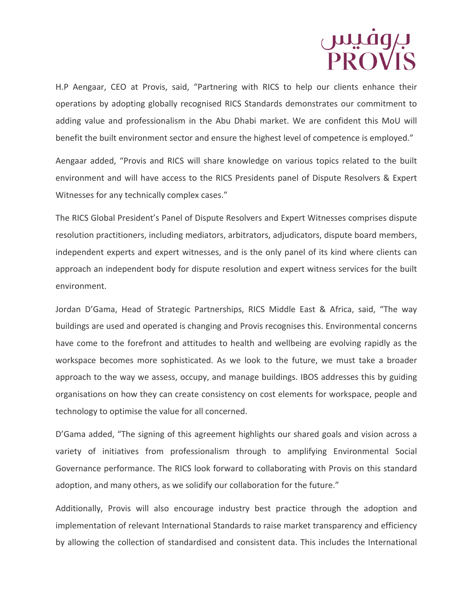### بہفیس<br>PROVIS

H.P Aengaar, CEO at Provis, said, "Partnering with RICS to help our clients enhance their operations by adopting globally recognised RICS Standards demonstrates our commitment to adding value and professionalism in the Abu Dhabi market. We are confident this MoU will benefit the built environment sector and ensure the highest level of competence is employed."

Aengaar added, "Provis and RICS will share knowledge on various topics related to the built environment and will have access to the RICS Presidents panel of Dispute Resolvers & Expert Witnesses for any technically complex cases."

The RICS Global President's Panel of Dispute Resolvers and Expert Witnesses comprises dispute resolution practitioners, including mediators, arbitrators, adjudicators, dispute board members, independent experts and expert witnesses, and is the only panel of its kind where clients can approach an independent body for dispute resolution and expert witness services for the built environment.

Jordan D'Gama, Head of Strategic Partnerships, RICS Middle East & Africa, said, "The way buildings are used and operated is changing and Provis recognises this. Environmental concerns have come to the forefront and attitudes to health and wellbeing are evolving rapidly as the workspace becomes more sophisticated. As we look to the future, we must take a broader approach to the way we assess, occupy, and manage buildings. IBOS addresses this by guiding organisations on how they can create consistency on cost elements for workspace, people and technology to optimise the value for all concerned.

D'Gama added, "The signing of this agreement highlights our shared goals and vision across a variety of initiatives from professionalism through to amplifying Environmental Social Governance performance. The RICS look forward to collaborating with Provis on this standard adoption, and many others, as we solidify our collaboration for the future."

Additionally, Provis will also encourage industry best practice through the adoption and implementation of relevant International Standards to raise market transparency and efficiency by allowing the collection of standardised and consistent data. This includes the International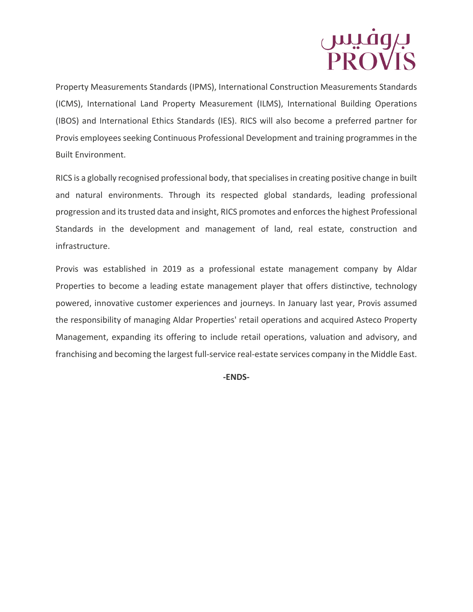# بروفیس<br>PROVIS

Property Measurements Standards (IPMS), International Construction Measurements Standards (ICMS), International Land Property Measurement (ILMS), International Building Operations (IBOS) and International Ethics Standards (IES). RICS will also become a preferred partner for Provis employees seeking Continuous Professional Development and training programmes in the Built Environment.

RICS is a globally recognised professional body, that specialises in creating positive change in built and natural environments. Through its respected global standards, leading professional progression and its trusted data and insight, RICS promotes and enforces the highest Professional Standards in the development and management of land, real estate, construction and infrastructure.

Provis was established in 2019 as a professional estate management company by Aldar Properties to become a leading estate management player that offers distinctive, technology powered, innovative customer experiences and journeys. In January last year, Provis assumed the responsibility of managing Aldar Properties' retail operations and acquired Asteco Property Management, expanding its offering to include retail operations, valuation and advisory, and franchising and becoming the largest full-service real-estate services company in the Middle East.

**-ENDS-**